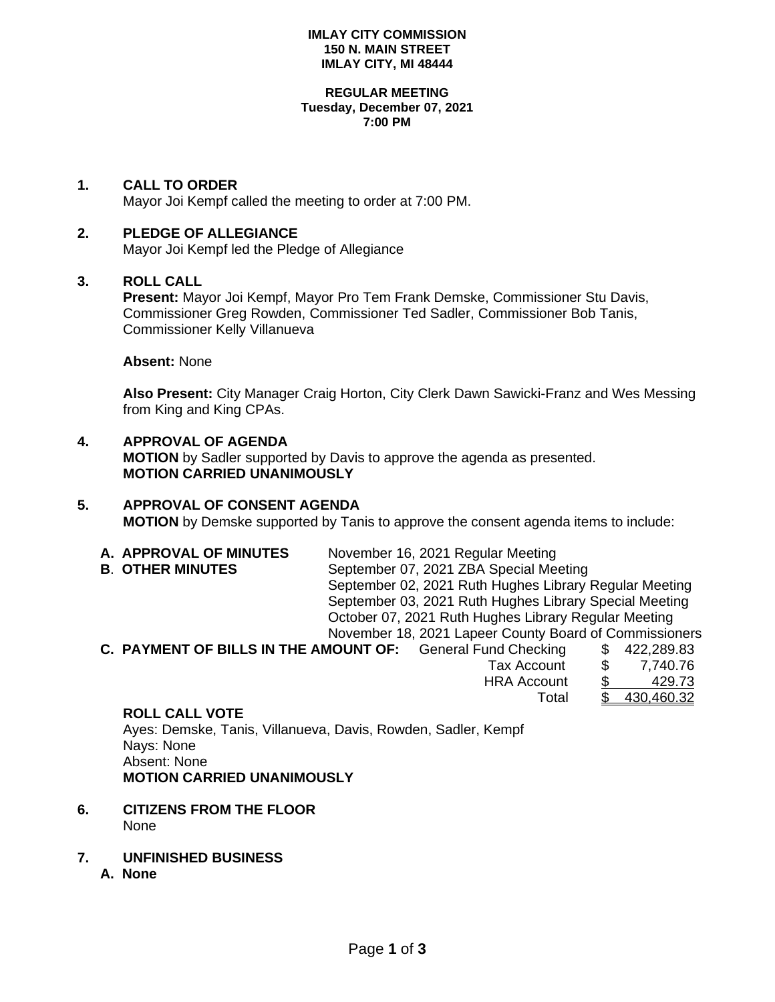### **IMLAY CITY COMMISSION 150 N. MAIN STREET IMLAY CITY, MI 48444**

#### **REGULAR MEETING Tuesday, December 07, 2021 7:00 PM**

# **1. CALL TO ORDER**

Mayor Joi Kempf called the meeting to order at 7:00 PM.

## **2. PLEDGE OF ALLEGIANCE**

Mayor Joi Kempf led the Pledge of Allegiance

### **3. ROLL CALL**

**Present:** Mayor Joi Kempf, Mayor Pro Tem Frank Demske, Commissioner Stu Davis, Commissioner Greg Rowden, Commissioner Ted Sadler, Commissioner Bob Tanis, Commissioner Kelly Villanueva

### **Absent:** None

**Also Present:** City Manager Craig Horton, City Clerk Dawn Sawicki-Franz and Wes Messing from King and King CPAs.

# **4. APPROVAL OF AGENDA**

**MOTION** by Sadler supported by Davis to approve the agenda as presented. **MOTION CARRIED UNANIMOUSLY**

# **5. APPROVAL OF CONSENT AGENDA**

**MOTION** by Demske supported by Tanis to approve the consent agenda items to include:

- **A. APPROVAL OF MINUTES** November 16, 2021 Regular Meeting **B**. **OTHER MINUTES** September 07, 2021 ZBA Special Meeting September 02, 2021 Ruth Hughes Library Regular Meeting September 03, 2021 Ruth Hughes Library Special Meeting October 07, 2021 Ruth Hughes Library Regular Meeting November 18, 2021 Lapeer County Board of Commissioners
- **C. PAYMENT OF BILLS IN THE AMOUNT OF:** General Fund Checking \$ 422,289.83 Tax Account \$ 7,740.76 HRA Account \$ Total \$ 430,460.32

### **ROLL CALL VOTE**

Ayes: Demske, Tanis, Villanueva, Davis, Rowden, Sadler, Kempf Nays: None Absent: None **MOTION CARRIED UNANIMOUSLY**

- **6. CITIZENS FROM THE FLOOR** None
- **7. UNFINISHED BUSINESS**
	- **A. None**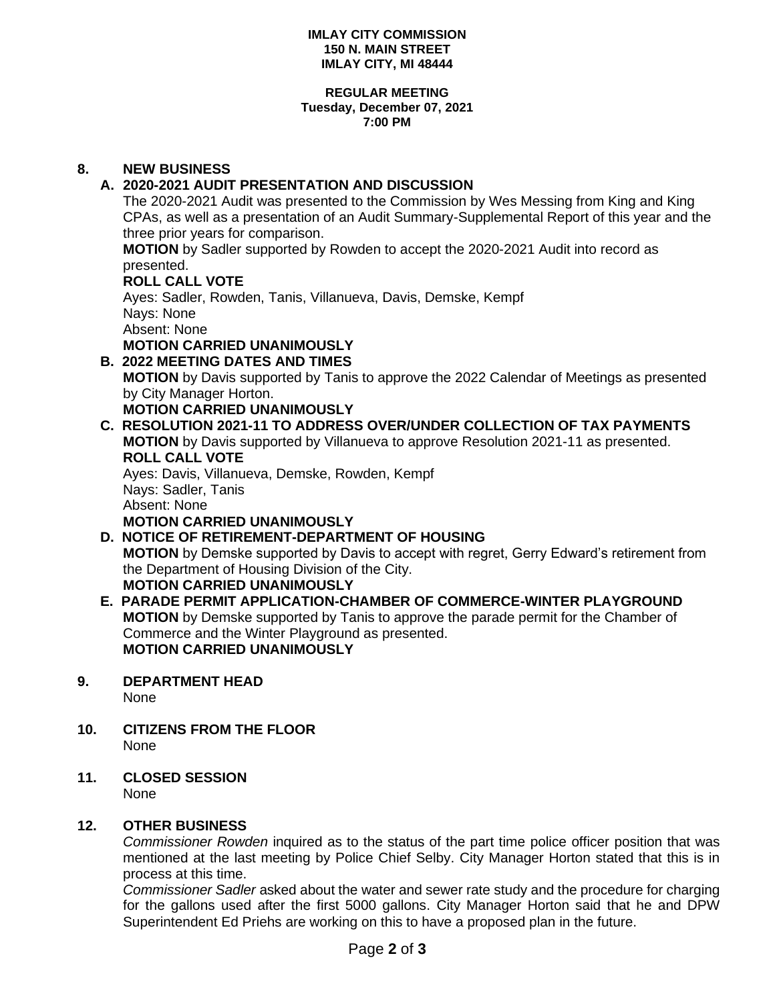### **IMLAY CITY COMMISSION 150 N. MAIN STREET IMLAY CITY, MI 48444**

#### **REGULAR MEETING Tuesday, December 07, 2021 7:00 PM**

# **8. NEW BUSINESS**

# **A. 2020-2021 AUDIT PRESENTATION AND DISCUSSION**

The 2020-2021 Audit was presented to the Commission by Wes Messing from King and King CPAs, as well as a presentation of an Audit Summary-Supplemental Report of this year and the three prior years for comparison.

**MOTION** by Sadler supported by Rowden to accept the 2020-2021 Audit into record as presented.

# **ROLL CALL VOTE**

Ayes: Sadler, Rowden, Tanis, Villanueva, Davis, Demske, Kempf Nays: None Absent: None

**MOTION CARRIED UNANIMOUSLY**

# **B. 2022 MEETING DATES AND TIMES**

**MOTION** by Davis supported by Tanis to approve the 2022 Calendar of Meetings as presented by City Manager Horton.

# **MOTION CARRIED UNANIMOUSLY**

**C. RESOLUTION 2021-11 TO ADDRESS OVER/UNDER COLLECTION OF TAX PAYMENTS MOTION** by Davis supported by Villanueva to approve Resolution 2021-11 as presented. **ROLL CALL VOTE** Ayes: Davis, Villanueva, Demske, Rowden, Kempf

Nays: Sadler, Tanis Absent: None **MOTION CARRIED UNANIMOUSLY**

### **D. NOTICE OF RETIREMENT-DEPARTMENT OF HOUSING MOTION** by Demske supported by Davis to accept with regret, Gerry Edward's retirement from the Department of Housing Division of the City. **MOTION CARRIED UNANIMOUSLY**

**E. PARADE PERMIT APPLICATION-CHAMBER OF COMMERCE-WINTER PLAYGROUND MOTION** by Demske supported by Tanis to approve the parade permit for the Chamber of Commerce and the Winter Playground as presented. **MOTION CARRIED UNANIMOUSLY**

# **9. DEPARTMENT HEAD**

None

- **10. CITIZENS FROM THE FLOOR** None
- **11. CLOSED SESSION** None

# **12. OTHER BUSINESS**

*Commissioner Rowden* inquired as to the status of the part time police officer position that was mentioned at the last meeting by Police Chief Selby. City Manager Horton stated that this is in process at this time.

*Commissioner Sadler* asked about the water and sewer rate study and the procedure for charging for the gallons used after the first 5000 gallons. City Manager Horton said that he and DPW Superintendent Ed Priehs are working on this to have a proposed plan in the future.